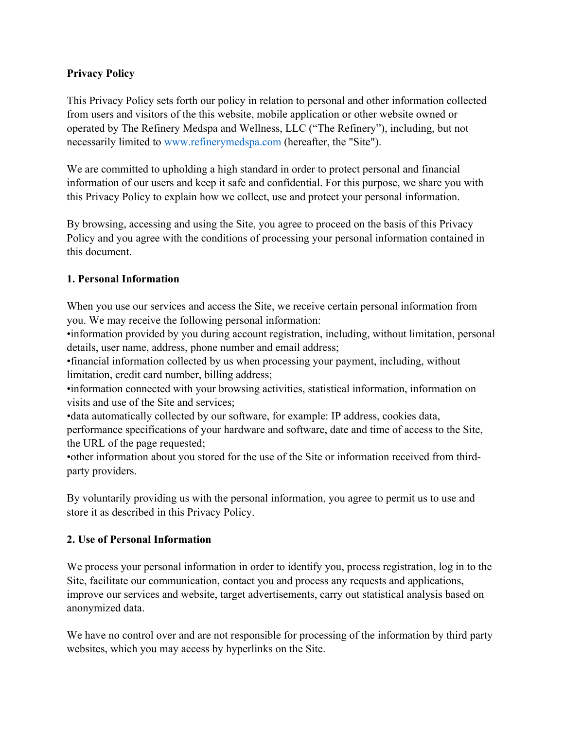## **Privacy Policy**

This Privacy Policy sets forth our policy in relation to personal and other information collected from users and visitors of the this website, mobile application or other website owned or operated by The Refinery Medspa and Wellness, LLC ("The Refinery"), including, but not necessarily limited to www.refinerymedspa.com (hereafter, the "Site").

We are committed to upholding a high standard in order to protect personal and financial information of our users and keep it safe and confidential. For this purpose, we share you with this Privacy Policy to explain how we collect, use and protect your personal information.

By browsing, accessing and using the Site, you agree to proceed on the basis of this Privacy Policy and you agree with the conditions of processing your personal information contained in this document.

## **1. Personal Information**

When you use our services and access the Site, we receive certain personal information from you. We may receive the following personal information:

•information provided by you during account registration, including, without limitation, personal details, user name, address, phone number and email address;

•financial information collected by us when processing your payment, including, without limitation, credit card number, billing address;

•information connected with your browsing activities, statistical information, information on visits and use of the Site and services;

•data automatically collected by our software, for example: IP address, cookies data, performance specifications of your hardware and software, date and time of access to the Site, the URL of the page requested;

•other information about you stored for the use of the Site or information received from thirdparty providers.

By voluntarily providing us with the personal information, you agree to permit us to use and store it as described in this Privacy Policy.

# **2. Use of Personal Information**

We process your personal information in order to identify you, process registration, log in to the Site, facilitate our communication, contact you and process any requests and applications, improve our services and website, target advertisements, carry out statistical analysis based on anonymized data.

We have no control over and are not responsible for processing of the information by third party websites, which you may access by hyperlinks on the Site.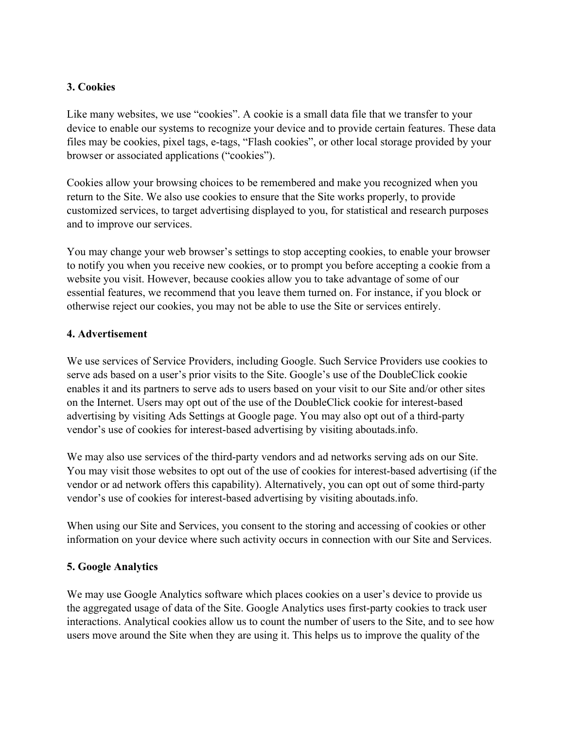## **3. Cookies**

Like many websites, we use "cookies". A cookie is a small data file that we transfer to your device to enable our systems to recognize your device and to provide certain features. These data files may be cookies, pixel tags, e-tags, "Flash cookies", or other local storage provided by your browser or associated applications ("cookies").

Cookies allow your browsing choices to be remembered and make you recognized when you return to the Site. We also use cookies to ensure that the Site works properly, to provide customized services, to target advertising displayed to you, for statistical and research purposes and to improve our services.

You may change your web browser's settings to stop accepting cookies, to enable your browser to notify you when you receive new cookies, or to prompt you before accepting a cookie from a website you visit. However, because cookies allow you to take advantage of some of our essential features, we recommend that you leave them turned on. For instance, if you block or otherwise reject our cookies, you may not be able to use the Site or services entirely.

#### **4. Advertisement**

We use services of Service Providers, including Google. Such Service Providers use cookies to serve ads based on a user's prior visits to the Site. Google's use of the DoubleClick cookie enables it and its partners to serve ads to users based on your visit to our Site and/or other sites on the Internet. Users may opt out of the use of the DoubleClick cookie for interest-based advertising by visiting Ads Settings at Google page. You may also opt out of a third-party vendor's use of cookies for interest-based advertising by visiting aboutads.info.

We may also use services of the third-party vendors and ad networks serving ads on our Site. You may visit those websites to opt out of the use of cookies for interest-based advertising (if the vendor or ad network offers this capability). Alternatively, you can opt out of some third-party vendor's use of cookies for interest-based advertising by visiting aboutads.info.

When using our Site and Services, you consent to the storing and accessing of cookies or other information on your device where such activity occurs in connection with our Site and Services.

#### **5. Google Analytics**

We may use Google Analytics software which places cookies on a user's device to provide us the aggregated usage of data of the Site. Google Analytics uses first-party cookies to track user interactions. Analytical cookies allow us to count the number of users to the Site, and to see how users move around the Site when they are using it. This helps us to improve the quality of the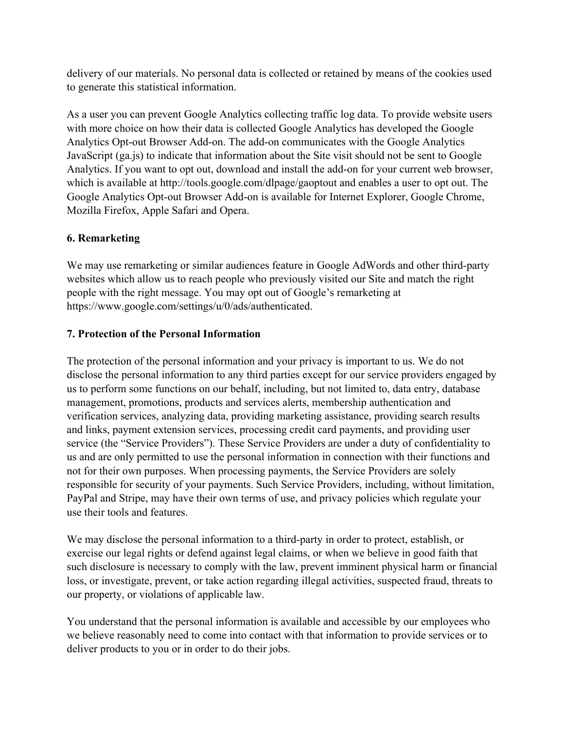delivery of our materials. No personal data is collected or retained by means of the cookies used to generate this statistical information.

As a user you can prevent Google Analytics collecting traffic log data. To provide website users with more choice on how their data is collected Google Analytics has developed the Google Analytics Opt-out Browser Add-on. The add-on communicates with the Google Analytics JavaScript (ga.js) to indicate that information about the Site visit should not be sent to Google Analytics. If you want to opt out, download and install the add-on for your current web browser, which is available at http://tools.google.com/dlpage/gaoptout and enables a user to opt out. The Google Analytics Opt-out Browser Add-on is available for Internet Explorer, Google Chrome, Mozilla Firefox, Apple Safari and Opera.

# **6. Remarketing**

We may use remarketing or similar audiences feature in Google AdWords and other third-party websites which allow us to reach people who previously visited our Site and match the right people with the right message. You may opt out of Google's remarketing at https://www.google.com/settings/u/0/ads/authenticated.

# **7. Protection of the Personal Information**

The protection of the personal information and your privacy is important to us. We do not disclose the personal information to any third parties except for our service providers engaged by us to perform some functions on our behalf, including, but not limited to, data entry, database management, promotions, products and services alerts, membership authentication and verification services, analyzing data, providing marketing assistance, providing search results and links, payment extension services, processing credit card payments, and providing user service (the "Service Providers"). These Service Providers are under a duty of confidentiality to us and are only permitted to use the personal information in connection with their functions and not for their own purposes. When processing payments, the Service Providers are solely responsible for security of your payments. Such Service Providers, including, without limitation, PayPal and Stripe, may have their own terms of use, and privacy policies which regulate your use their tools and features.

We may disclose the personal information to a third-party in order to protect, establish, or exercise our legal rights or defend against legal claims, or when we believe in good faith that such disclosure is necessary to comply with the law, prevent imminent physical harm or financial loss, or investigate, prevent, or take action regarding illegal activities, suspected fraud, threats to our property, or violations of applicable law.

You understand that the personal information is available and accessible by our employees who we believe reasonably need to come into contact with that information to provide services or to deliver products to you or in order to do their jobs.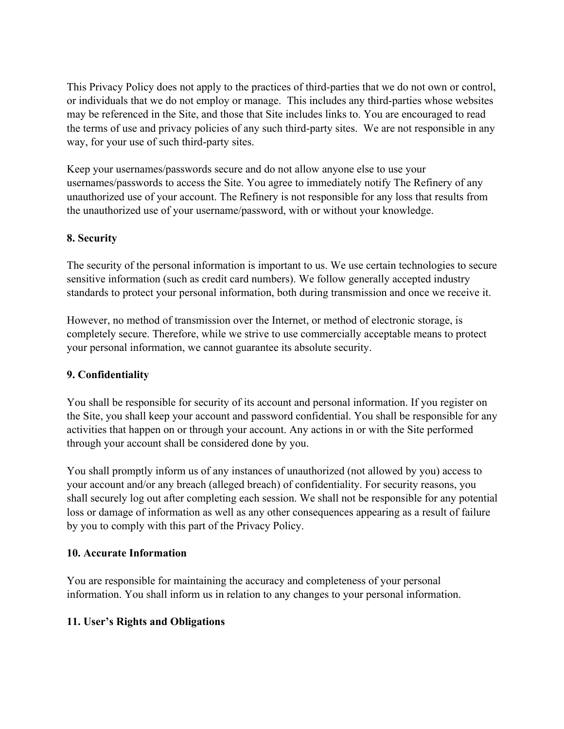This Privacy Policy does not apply to the practices of third-parties that we do not own or control, or individuals that we do not employ or manage. This includes any third-parties whose websites may be referenced in the Site, and those that Site includes links to. You are encouraged to read the terms of use and privacy policies of any such third-party sites. We are not responsible in any way, for your use of such third-party sites.

Keep your usernames/passwords secure and do not allow anyone else to use your usernames/passwords to access the Site. You agree to immediately notify The Refinery of any unauthorized use of your account. The Refinery is not responsible for any loss that results from the unauthorized use of your username/password, with or without your knowledge.

## **8. Security**

The security of the personal information is important to us. We use certain technologies to secure sensitive information (such as credit card numbers). We follow generally accepted industry standards to protect your personal information, both during transmission and once we receive it.

However, no method of transmission over the Internet, or method of electronic storage, is completely secure. Therefore, while we strive to use commercially acceptable means to protect your personal information, we cannot guarantee its absolute security.

#### **9. Confidentiality**

You shall be responsible for security of its account and personal information. If you register on the Site, you shall keep your account and password confidential. You shall be responsible for any activities that happen on or through your account. Any actions in or with the Site performed through your account shall be considered done by you.

You shall promptly inform us of any instances of unauthorized (not allowed by you) access to your account and/or any breach (alleged breach) of confidentiality. For security reasons, you shall securely log out after completing each session. We shall not be responsible for any potential loss or damage of information as well as any other consequences appearing as a result of failure by you to comply with this part of the Privacy Policy.

#### **10. Accurate Information**

You are responsible for maintaining the accuracy and completeness of your personal information. You shall inform us in relation to any changes to your personal information.

# **11. User's Rights and Obligations**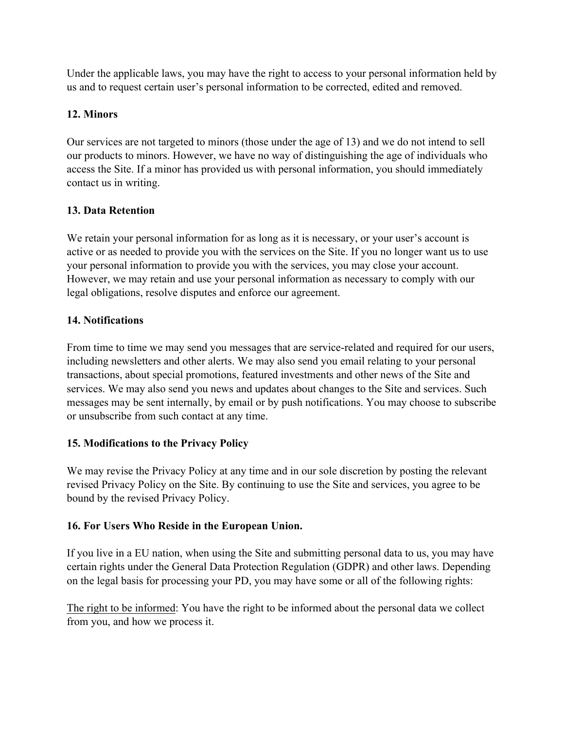Under the applicable laws, you may have the right to access to your personal information held by us and to request certain user's personal information to be corrected, edited and removed.

# **12. Minors**

Our services are not targeted to minors (those under the age of 13) and we do not intend to sell our products to minors. However, we have no way of distinguishing the age of individuals who access the Site. If a minor has provided us with personal information, you should immediately contact us in writing.

# **13. Data Retention**

We retain your personal information for as long as it is necessary, or your user's account is active or as needed to provide you with the services on the Site. If you no longer want us to use your personal information to provide you with the services, you may close your account. However, we may retain and use your personal information as necessary to comply with our legal obligations, resolve disputes and enforce our agreement.

# **14. Notifications**

From time to time we may send you messages that are service-related and required for our users, including newsletters and other alerts. We may also send you email relating to your personal transactions, about special promotions, featured investments and other news of the Site and services. We may also send you news and updates about changes to the Site and services. Such messages may be sent internally, by email or by push notifications. You may choose to subscribe or unsubscribe from such contact at any time.

# **15. Modifications to the Privacy Policy**

We may revise the Privacy Policy at any time and in our sole discretion by posting the relevant revised Privacy Policy on the Site. By continuing to use the Site and services, you agree to be bound by the revised Privacy Policy.

# **16. For Users Who Reside in the European Union.**

If you live in a EU nation, when using the Site and submitting personal data to us, you may have certain rights under the General Data Protection Regulation (GDPR) and other laws. Depending on the legal basis for processing your PD, you may have some or all of the following rights:

The right to be informed: You have the right to be informed about the personal data we collect from you, and how we process it.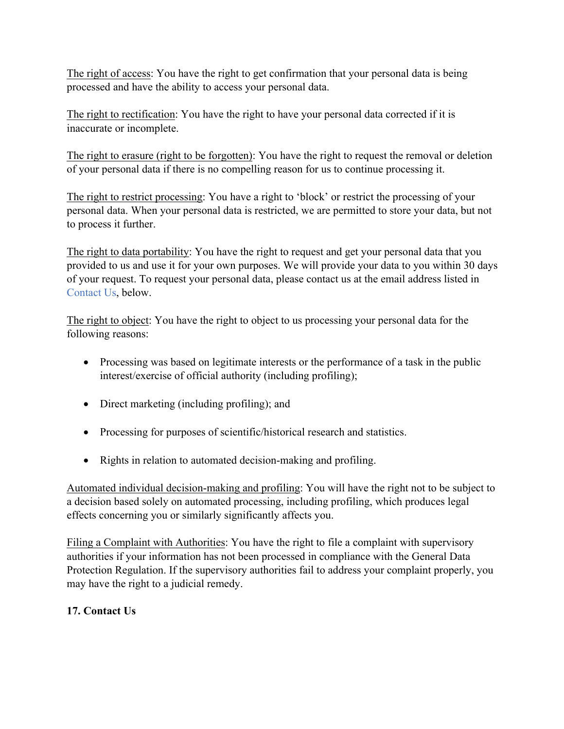The right of access: You have the right to get confirmation that your personal data is being processed and have the ability to access your personal data.

The right to rectification: You have the right to have your personal data corrected if it is inaccurate or incomplete.

The right to erasure (right to be forgotten): You have the right to request the removal or deletion of your personal data if there is no compelling reason for us to continue processing it.

The right to restrict processing: You have a right to 'block' or restrict the processing of your personal data. When your personal data is restricted, we are permitted to store your data, but not to process it further.

The right to data portability: You have the right to request and get your personal data that you provided to us and use it for your own purposes. We will provide your data to you within 30 days of your request. To request your personal data, please contact us at the email address listed in Contact Us, below.

The right to object: You have the right to object to us processing your personal data for the following reasons:

- Processing was based on legitimate interests or the performance of a task in the public interest/exercise of official authority (including profiling);
- Direct marketing (including profiling); and
- Processing for purposes of scientific/historical research and statistics.
- Rights in relation to automated decision-making and profiling.

Automated individual decision-making and profiling: You will have the right not to be subject to a decision based solely on automated processing, including profiling, which produces legal effects concerning you or similarly significantly affects you.

Filing a Complaint with Authorities: You have the right to file a complaint with supervisory authorities if your information has not been processed in compliance with the General Data Protection Regulation. If the supervisory authorities fail to address your complaint properly, you may have the right to a judicial remedy.

# **17. Contact Us**